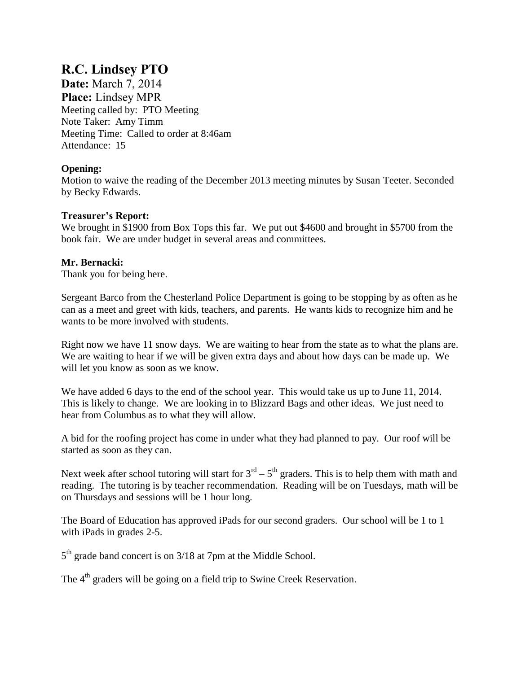# **R.C. Lindsey PTO**

**Date:** March 7, 2014 **Place:** Lindsey MPR Meeting called by: PTO Meeting Note Taker: Amy Timm Meeting Time: Called to order at 8:46am Attendance: 15

## **Opening:**

Motion to waive the reading of the December 2013 meeting minutes by Susan Teeter. Seconded by Becky Edwards.

### **Treasurer's Report:**

We brought in \$1900 from Box Tops this far. We put out \$4600 and brought in \$5700 from the book fair. We are under budget in several areas and committees.

## **Mr. Bernacki:**

Thank you for being here.

Sergeant Barco from the Chesterland Police Department is going to be stopping by as often as he can as a meet and greet with kids, teachers, and parents. He wants kids to recognize him and he wants to be more involved with students.

Right now we have 11 snow days. We are waiting to hear from the state as to what the plans are. We are waiting to hear if we will be given extra days and about how days can be made up. We will let you know as soon as we know.

We have added 6 days to the end of the school year. This would take us up to June 11, 2014. This is likely to change. We are looking in to Blizzard Bags and other ideas. We just need to hear from Columbus as to what they will allow.

A bid for the roofing project has come in under what they had planned to pay. Our roof will be started as soon as they can.

Next week after school tutoring will start for  $3^{rd} - 5^{th}$  graders. This is to help them with math and reading. The tutoring is by teacher recommendation. Reading will be on Tuesdays, math will be on Thursdays and sessions will be 1 hour long.

The Board of Education has approved iPads for our second graders. Our school will be 1 to 1 with iPads in grades 2-5.

5<sup>th</sup> grade band concert is on 3/18 at 7pm at the Middle School.

The 4<sup>th</sup> graders will be going on a field trip to Swine Creek Reservation.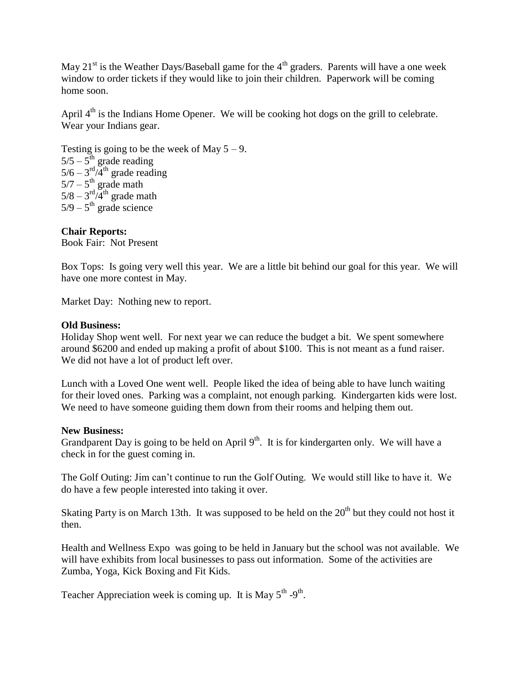May  $21<sup>st</sup>$  is the Weather Days/Baseball game for the  $4<sup>th</sup>$  graders. Parents will have a one week window to order tickets if they would like to join their children. Paperwork will be coming home soon.

April  $4<sup>th</sup>$  is the Indians Home Opener. We will be cooking hot dogs on the grill to celebrate. Wear your Indians gear.

Testing is going to be the week of May  $5 - 9$ .  $5/5 - 5$ <sup>th</sup> grade reading  $5/6 - 3^{\text{rd}}/4^{\text{th}}$  grade reading  $5/7 - 5$ <sup>th</sup> grade math  $5/8 - 3^{\text{rd}}/4^{\text{th}}$  grade math  $5/9 - 5$ <sup>th</sup> grade science

**Chair Reports:** Book Fair: Not Present

Box Tops: Is going very well this year. We are a little bit behind our goal for this year. We will have one more contest in May.

Market Day: Nothing new to report.

#### **Old Business:**

Holiday Shop went well. For next year we can reduce the budget a bit. We spent somewhere around \$6200 and ended up making a profit of about \$100. This is not meant as a fund raiser. We did not have a lot of product left over.

Lunch with a Loved One went well. People liked the idea of being able to have lunch waiting for their loved ones. Parking was a complaint, not enough parking. Kindergarten kids were lost. We need to have someone guiding them down from their rooms and helping them out.

#### **New Business:**

Grandparent Day is going to be held on April  $9<sup>th</sup>$ . It is for kindergarten only. We will have a check in for the guest coming in.

The Golf Outing: Jim can't continue to run the Golf Outing. We would still like to have it. We do have a few people interested into taking it over.

Skating Party is on March 13th. It was supposed to be held on the  $20<sup>th</sup>$  but they could not host it then.

Health and Wellness Expo was going to be held in January but the school was not available. We will have exhibits from local businesses to pass out information. Some of the activities are Zumba, Yoga, Kick Boxing and Fit Kids.

Teacher Appreciation week is coming up. It is May  $5^{th}$  -9<sup>th</sup>.